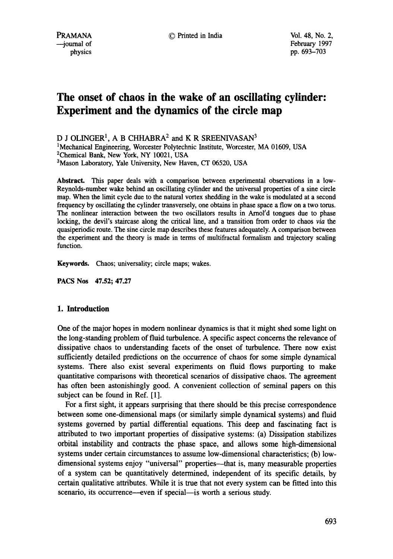# **The onset of chaos in the wake of an oscillating cylinder: Experiment and the dynamics of the circle map**

D J OLINGER<sup>1</sup>, A B CHHABRA<sup>2</sup> and K R SREENIVASAN<sup>3</sup>

<sup>1</sup>Mechanical Engineering, Worcester Polytechnic Institute, Worcester, MA 01609, USA <sup>2</sup>Chemical Bank, New York, NY 10021, USA 3Mason Laboratory, Yale University, New Haven, CT 06520, USA

**Abstract.** This paper deals with a comparison between experimental observations in a low-Reynolds-number wake behind an oscillating cylinder and the universal properties of a sine circle map. When the limit cycle due to the natural vortex shedding in the wake is modulated at a second frequency by oscillating the cylinder transversely, one obtains in phase space a flow on a two toms. The nonlinear interaction between the two oscillators results in Arnol'd tongues due to phase locking, the devil's staircase along the critical line, and a transition from order to chaos *via the*  quasiperiodic route. The sine circle map describes these features adequately. A comparison between the experiment and the theory is made in terms of multifractal formalism and trajectory scaling function.

**Keywords.** Chaos; universality; circle maps; wakes.

PACS Nos 47.52; 47.27

# **1. Introduction**

One of the major hopes in modem nonlinear dynamics is that it might shed some light on the long-standing problem of fluid turbulence. A specific aspect concerns the relevance of dissipative chaos to understanding facets of the onset of turbulence. There now exist sufficiently detailed predictions on the occurrence of chaos for some simple dynamical systems. There also exist several experiments on fluid flows purporting to make quantitative comparisons with theoretical scenarios of dissipative chaos. The agreement has often been astonishingly good. A convenient collection of seminal papers on this subject can be found in Ref. [1].

For a first sight, it appears surprising that there should be this precise correspondence between some one-dimensional maps (or similarly simple dynamical systems) and fluid systems governed by partial differential equations. This deep and fascinating fact is attributed to two important properties of dissipative systems: (a) Dissipation stabilizes orbital instability and contracts the phase space, and allows some high-dimensional systems under certain circumstances to assume low-dimensional characteristics; (b) lowdimensional systems enjoy "universal" properties--that is, many measurable properties of a system can be quantitatively determined, independent of its specific details, by certain qualitative attributes. While it is true that not every system can be fitted into this scenario, its occurrence—even if special—is worth a serious study.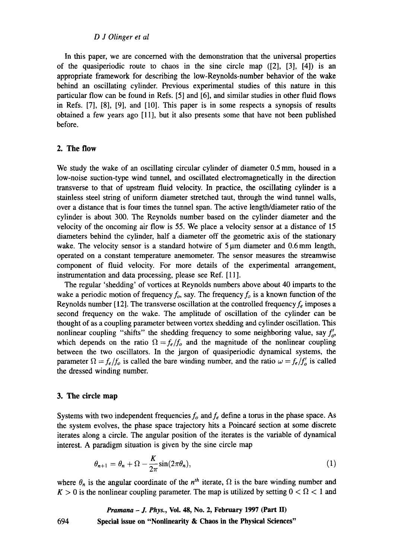#### *D J Olinger et al*

In this paper, we are concerned with the demonstration that the universal properties of the quasiperiodic route to chaos in the sine circle map  $(21, 31, 41)$  is an appropriate framework for describing the low-Reynolds-number behavior of the wake behind an oscillating cylinder. Previous experimental studies of this nature in this particular flow can be found in Refs. [5] and [6], and similar studies in other fluid flows **in** Refs. [7], [8], [9], and [10]. This paper is in some respects a synopsis of results obtained a few years ago [11], but it also presents some that have not been published before.

## **2. The flow**

We study the wake of an oscillating circular cylinder of diameter 0.5 mm, housed in a low-noise suction-type wind tunnel, and oscillated electromagnetically in the direction transverse to that of upstream fluid velocity. In practice, the oscillating cylinder is a stainless steel string of uniform diameter stretched taut, through the wind tunnel walls, over a distance that is four times the tunnel span. The active length/diameter ratio of the cylinder is about 300. The Reynolds number based on the cylinder diameter and the velocity of the oncoming air flow is 55. We place a velocity sensor at a distance of 15 diameters behind the cylinder, half a diameter off the geometric axis of the stationary wake. The velocity sensor is a standard hotwire of  $5 \mu m$  diameter and 0.6 mm length, operated on a constant temperature anemometer. The sensor measures the streamwise component of fluid velocity. For more details of the experimental arrangement, instrumentation and data processing, please see Ref. [11].

The regular 'shedding' of vortices at Reynolds numbers above about 40 imparts to the wake a periodic motion of frequency  $f_o$ , say. The frequency  $f_o$  is a known function of the Reynolds number [12]. The transverse oscillation at the controlled frequency  $f_e$  imposes a second frequency on the wake. The amplitude of oscillation of the cylinder can be thought of as a coupling parameter between vortex shedding and cylinder oscillation. This nonlinear coupling "shifts" the shedding frequency to some neighboring value, say  $f'_{\alpha}$ , which depends on the ratio  $\Omega = f_e/f_o$  and the magnitude of the nonlinear coupling between the two oscillators. In the jargon of quasiperiodic dynamical systems, the parameter  $\Omega = f_e/f_o$  is called the bare winding number, and the ratio  $\omega = f_e/f_o$  is called the dressed winding number.

### **3. The circle map**

Systems with two independent frequencies  $f<sub>o</sub>$  and  $f<sub>e</sub>$  define a torus in the phase space. As the system evolves, the phase space trajectory hits a Poincaré section at some discrete iterates along a circle. The angular position of the iterates is the variable of dynamical interest. A paradigm situation is given by the sine circle map

$$
\theta_{n+1} = \theta_n + \Omega - \frac{K}{2\pi} \sin(2\pi \theta_n), \tag{1}
$$

where  $\theta_n$  is the angular coordinate of the  $n^{th}$  iterate,  $\Omega$  is the bare winding number and  $K > 0$  is the nonlinear coupling parameter. The map is utilized by setting  $0 < \Omega < 1$  and

*Pramana - J. Phys.,* **Vol. 48, No. 2, February 1997 (Part H) Special issue on "Nonlinearity & Chaos in the Physical Sciences"** 

694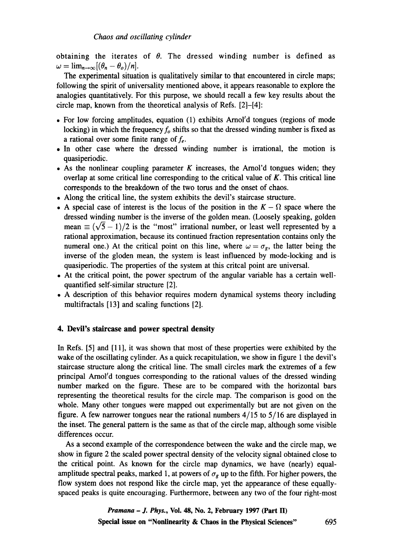obtaining the iterates of  $\theta$ . The dressed winding number is defined as  $\omega = \lim_{n \to \infty} [(\theta_n - \theta_o)/n].$ 

The experimental situation is qualitatively similar to that encountered in circle maps; following the spirit of universality mentioned above, it appears reasonable to explore the analogies quantitatively. For this purpose, we should recall a few key results about the circle map, known from the theoretical analysis of Refs. [2]-[4]:

- For low forcing amplitudes, equation (1) exhibits Amol'd tongues (regions of mode locking) in which the frequency  $f_0$  shifts so that the dressed winding number is fixed as a rational over some finite range of  $f_e$ .
- In other case where the dressed winding number is irrational, the motion is quasiperiodic.
- As the nonlinear coupling parameter K increases, the Arnol'd tongues widen; they overlap at some critical line corresponding to the critical value of  $K$ . This critical line corresponds to the breakdown of the two torus and the onset of chaos.
- Along the critical line, the system exhibits the devil's staircase structure.
- A special case of interest is the locus of the position in the  $K \Omega$  space where the dressed winding number is the inverse of the golden mean. (Loosely speaking, golden mean  $\equiv (\sqrt{5}-1)/2$  is the "most" irrational number, or least well represented by a rational approximation, because its continued fraction representation contains only the numeral one.) At the critical point on this line, where  $\omega = \sigma_{g}$ , the latter being the inverse of the gloden mean, the system is least influenced by mode-locking and is quasiperiodic. The properties of the system at this critcal point are universal.
- At the critical point, the power spectrum of the angular variable has a certain wellquantified self-similar structure [2].
- A description of this behavior requires modem dynamical systems theory including multifractals [13] and scaling functions [2].

## 4. Devil's **staircase and power spectral density**

In Refs. [5] and [11], it was shown that most of these properties were exhibited by the wake of the oscillating cylinder. As a quick recapitulation, we show in figure 1 the devil's staircase structure along the critical line. The small circles mark the extremes of a few principal Arnol'd tongues corresponding to the rational values of the dressed winding number marked on the figure. These are to be compared with the horizontal bars representing the theoretical results for the circle map. The comparison is good on the whole. Many other tongues were mapped out experimentally but are not given on the figure. A few narrower tongues near the rational numbers  $4/15$  to  $5/16$  are displayed in the inset. The general pattern is the same as that of the circle map, although some visible differences occur.

As a second example of the correspondence between the wake and the circle map, we show in figure 2 the scaled power spectral density of the velocity signal obtained close to the critical point. As known for the circle map dynamics, we have (nearly) equalamplitude spectral peaks, marked 1, at powers of  $\sigma_g$  up to the fifth. For higher powers, the flow system does not respond like the circle map, yet the appearance of these equallyspaced peaks is quite encouraging. Furthermore, between any two of the four right-most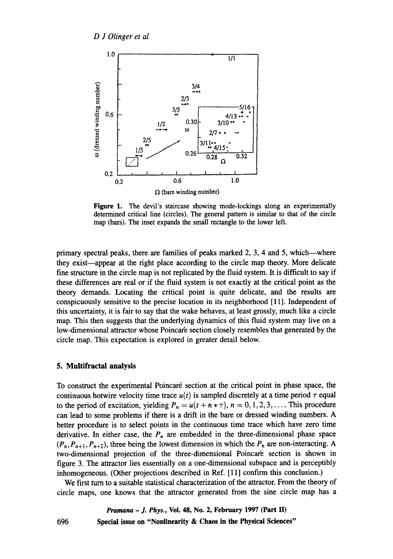

Figure 1. The devil's staircase showing mode-lockings along an experimentally determined critical line (circles). The general pattern is similar to that of the circle map (bars). The inset expands the small rectangle to the lower left.

primary spectral peaks, there are families of peaks marked  $2, 3, 4$  and  $5$ , which—where they exist--appear at the right place according to the circle map theory. More delicate fine structure in the circle map is not replicated by the fluid system. It is difficult to say if these differences are real or if the fluid system is not exactly at the critical point as the theory demands. Locating the critical point is quite delicate, and the results are conspicuously sensitive to the precise location in its neighborhood [11]. Independent of this uncertainty, it is fair to say that the wake behaves, at least grossly, much like a circle map. This then suggests that the underlying dynamics of this fluid system may live on a low-dimensional attractor whose Poincar'e section closely resembles that generated by the circle map. This expectation is explored in greater detail below.

# **5. Multifractal analysis**

To construct the experimental Poincar6 section at the critical point in phase space, the continuous hotwire velocity time trace  $u(t)$  is sampled discretely at a time period  $\tau$  equal to the period of excitation, yielding  $P_n = u(t + n * \tau)$ ,  $n = 0, 1, 2, 3, \ldots$ . This procedure can lead to some problems if there is a drift in the bare or dressed winding numbers. A better procedure is to select points in the continuous time trace which have zero time derivative. In either case, the  $P_n$  are embedded in the three-dimensional phase space  $(P_n, P_{n+1}, P_{n+2})$ , three being the lowest dimension in which the  $P_n$  are non-interacting. A two-dimensional projection of the three-dimensional Poincar'e section is shown in figure 3. The attractor lies essentially on a one-dimensional subspace and is perceptibly inhomogeneous. (Other projections described in Ref. [11] confirm this conclusion.)

We first turn to a suitable statistical characterization of the attractor. From the theory of circle maps, one knows that the attractor generated from the sine circle map has a

> *Pramana - J. Phys.,* **Vol. 48, No. 2, February 1997 (Part II) Special issue on "Nonlinearity & Chaos in the Physical Sciences"**

696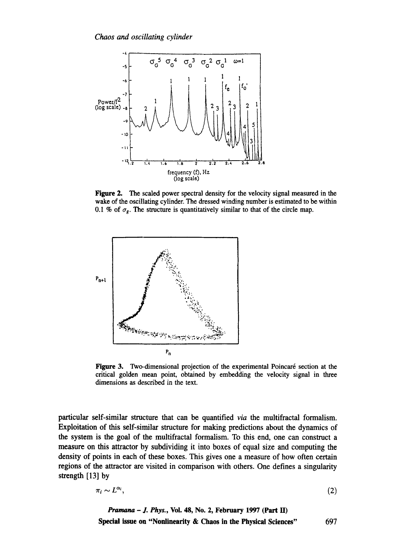

Figure 2. The scaled power spectral density for the velocity signal measured in the wake of the oscillating cylinder. The dressed winding number is estimated to be within 0.1 % of  $\sigma_{\rm g}$ . The structure is quantitatively similar to that of the circle map.



Figure 3. Two-dimensional projection of the experimental Poincaré section at the critical golden mean point, obtained by embedding the velocity signal in three dimensions as described in the text.

particular self-similar structure that can be quantified *via the* multifractal formalism. Exploitation of this self-similar structure for making predictions about the dynamics of the system is the goal of the multifractal formalism. To this end, one can construct a measure on this attractor by subdividing it into boxes of equal size and computing the density of points in each of these boxes. This gives one a measure of how often certain regions of the attractor are visited in comparison with others. One defines a singularity strength [13] by

$$
\pi_i \sim L^{\alpha_i},\tag{2}
$$

*Pramana - J. Phys.,* **Vol. 48, No. 2, February 1997 (Part lI) Special issue on "Nonlinearity & Chaos in the Physical Sciences"** 697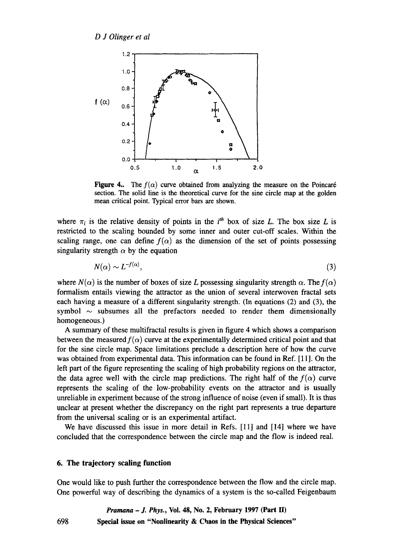*D J Olinger et al* 



Figure 4.. The  $f(\alpha)$  curve obtained from analyzing the measure on the Poincaré section. The solid line is the theoretical curve for the sine circle map at the golden mean critical point. Typical error bars are shown.

where  $\pi_i$  is the relative density of points in the *i*<sup>th</sup> box of size L. The box size L is restricted to the scaling bounded by some inner and outer cut-off scales. Within the scaling range, one can define  $f(\alpha)$  as the dimension of the set of points possessing singularity strength  $\alpha$  by the equation

$$
N(\alpha) \sim L^{-f(\alpha)},\tag{3}
$$

where  $N(\alpha)$  is the number of boxes of size L possessing singularity strength  $\alpha$ . The  $f(\alpha)$ formalism entails viewing the attractor as the union of several interwoven fractal sets each having a measure of a different singularity strength. (In equations (2) and (3), the symbol  $\sim$  subsumes all the prefactors needed to render them dimensionally homogeneous.)

A summary of these multifractal results is given in figure 4 which shows a comparison between the measured  $f(\alpha)$  curve at the experimentally determined critical point and that for the sine circle map. Space limitations preclude a description here of how the curve was obtained from experimental data. This information can be found in Ref. [11]. On the left part of the figure representing the scaling of high probability regions on the attractor, the data agree well with the circle map predictions. The right half of the  $f(\alpha)$  curve represents the scaling of the low-probability events on the attractor and is usually unreliable in experiment because of the strong influence of noise (even if small). It is thus unclear at present whether the discrepancy on the right part represents a true departure from the universal scaling or is an experimental artifact.

We have discussed this issue in more detail in Refs. [11] and [14] where we have concluded that the correspondence between the circle map and the flow is indeed real.

# **6. The trajectory scaling function**

One would like to push further the correspondence between the flow and the circle map. One powerful way of describing the dynamics of a system is the so-called Feigenbaum

*Pramana - J. Phys.,* **Vol. 48, No. 2, February 1997 (Part II)** 

**698 Special issue on "Nonlinearity & Chaos in the Physical Sciences"**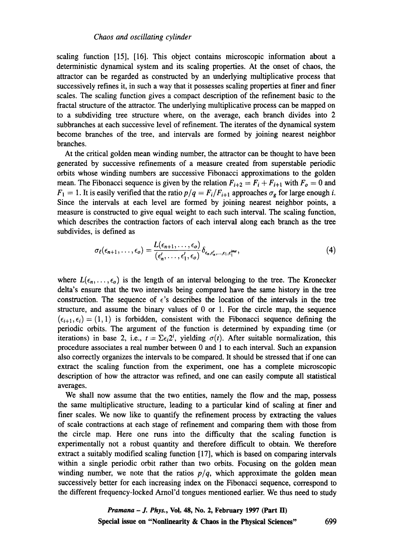scaling function [15], [16]. This object contains microscopic information about a deterministic dynamical system and its scaling properties. At the onset of chaos, the attractor can be regarded as constructed by an underlying multiplicative process that successively refines it, in such a way that it possesses scaling properties at finer and finer scales. The scaling function gives a compact description of the refinement basic to the fractal structure of the attractor. The underlying multiplicative process can be mapped on to a subdividing tree structure where, on the average, each branch divides into 2 subbranches at each successive level of refinement. The iterates of the dynamical system become branches of the tree, and intervals are formed by joining nearest neighbor branches.

At the critical golden mean winding number, the attractor can be thought to have been generated by successive refinements of a measure created from superstable periodic orbits whose winding numbers are successive Fibonacci approximations to the golden mean. The Fibonacci sequence is given by the relation  $F_{i+2} = F_i + F_{i+1}$  with  $F_o = 0$  and  $F_1 = 1$ . It is easily verified that the ratio  $p/q = F_i/F_{i+1}$  approaches  $\sigma_g$  for large enough i. Since the intervals at each level are formed by joining nearest neighbor points, a measure is constructed to give equal weight to each such interval. The scaling function, which describes the contraction factors of each interval along each branch as the tree subdivides, is defined as

$$
\sigma_{\ell}(\epsilon_{n+1},\ldots,\epsilon_o)=\frac{L(\epsilon_{n+1},\ldots,\epsilon_o)}{(\epsilon'_n,\ldots,\epsilon'_1,\epsilon_o)}\delta_{\epsilon_n,\epsilon'_n,\ldots,\epsilon_1,\epsilon_1^{\text{time}}},\qquad(4)
$$

where  $L(\epsilon_n,\ldots,\epsilon_o)$  is the length of an interval belonging to the tree. The Kronecker delta's ensure that the two intervals being compared have the same history in the tree construction. The sequence of  $\epsilon$ 's describes the location of the intervals in the tree structure, and assume the binary values of 0 or 1. For the circle map, the sequence  $(\epsilon_{i+1}, \epsilon_i) = (1, 1)$  is forbidden, consistent with the Fibonacci sequence defining the periodic orbits. The argument of the function is determined by expanding time (or iterations) in base 2, i.e.,  $t = \sum \epsilon_i 2^i$ , yielding  $\sigma(t)$ . After suitable normalization, this procedure associates a real number between 0 and 1 to each interval. Such an expansion also correctly organizes the intervals to be compared. It should be stressed that if one can extract the scaling function from the experiment, one has a complete microscopic description of how the attractor was refined, and one can easily compute all statistical averages.

We shall now assume that the two entities, namely the flow and the map, possess the same multiplicative structure, leading to a particular kind of scaling at finer and finer scales. We now like to quantify the refinement process by extracting the values of scale contractions at each stage of refinement and comparing them with those from the circle map. Here one runs into the difficulty that the scaling function is experimentally not a robust quantity and therefore difficult to obtain. We therefore extract a suitably modified scaling function [17], which is based on comparing intervals within a single periodic orbit rather than two orbits. Focusing on the golden mean winding number, we note that the ratios  $p/q$ , which approximate the golden mean successively better for each increasing index on the Fibonacci sequence, correspond to the different frequency-locked Arnol'd tongues mentioned earlier. We thus need to study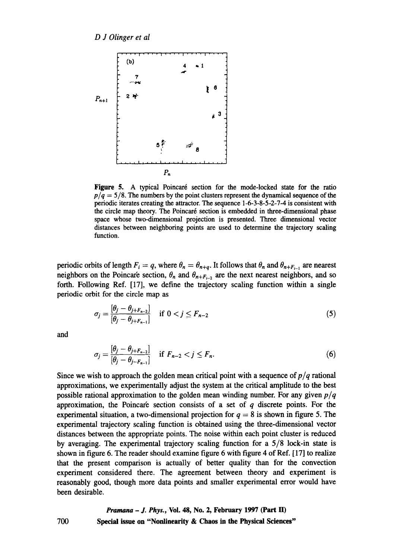

Figure 5. A typical Poincaré section for the mode-locked state for the ratio  $p/q = 5/8$ . The numbers by the point clusters represent the dynamical sequence of the periodic iterates creating the attractor. The sequence 1-6-3-8-5-2-7-4 is consistent with the circle map theory. The Poincaré section is embedded in three-dimensional phase space whose two-dimensional projection is presented. Three dimensional vector distances between neighboring points are used to determine the trajectory scaling function.

periodic orbits of length  $F_i = q$ , where  $\theta_n = \theta_{n+q}$ . It follows that  $\theta_n$  and  $\theta_{n+F_{i-1}}$  are nearest neighbors on the Poincar'e section,  $\theta_n$  and  $\theta_{n+F_{i-2}}$  are the next nearest neighbors, and so forth. Following Ref. [17], we define the trajectory scaling function within a single periodic orbit for the circle map as

$$
\sigma_j = \frac{[\theta_j - \theta_{j+F_{n-2}}]}{[\theta_j - \theta_{j+F_{n-1}}]} \quad \text{if } 0 < j \le F_{n-2} \tag{5}
$$

and

$$
\sigma_j = \frac{\left[\theta_j - \theta_{j+F_{n-2}}\right]}{\left[\theta_j - \theta_{j-F_{n-1}}\right]} \quad \text{if } F_{n-2} < j \leq F_n. \tag{6}
$$

Since we wish to approach the golden mean critical point with a sequence of  $p/q$  rational approximations, we experimentally adjust the system at the critical amplitude to the best possible rational approximation to the golden mean winding number. For any given *p/q*  approximation, the Poincaré section consists of a set of  $q$  discrete points. For the experimental situation, a two-dimensional projection for  $q = 8$  is shown in figure 5. The experimental trajectory scaling function is obtained using the three-dimensional vector distances between the appropriate points. The noise within each point cluster is reduced by averaging. The experimental trajectory scaling function for a 5/8 lock-in state is shown in figure 6. The reader should examine figure 6 with figure 4 of Ref. [17] to realize that the present comparison is actually of better quality than for the convection experiment considered there. The agreement between theory and experiment is reasonably good, though more data points and smaller experimental error would have been desirable.

> *Pramana - J. Phys.,* **Vol. 48, No. 2, February 1997 (Part H) Special issue on "Nonlinearity & Chaos in the Physical Sciences"**

700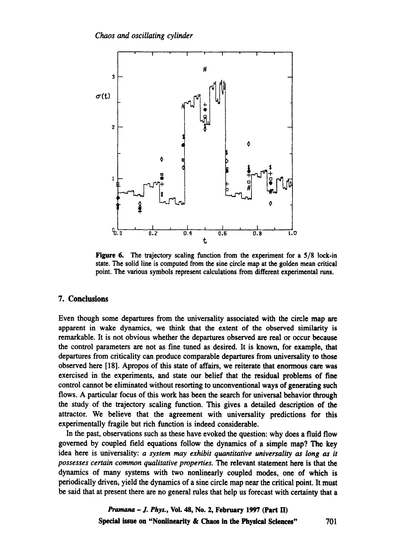

Figure 6. The trajectory scaling function from the experiment for a 5/8 lock-in state. The solid line is computed from the sine circle map at the golden mean critical point. The various symbols represent calculations from different experimental runs,

## 7. Conclusions

Even though some departures from the universality associated with the circle map are apparent in wake dynamics, we think that the extent of the observed similarity is remarkable. It is not obvious whether the departures observed are real or occur because the control parameters are not as fine tuned as desired. It is known, for example, that departures from criticality can produce comparable departures from universality to those observed here [18]. Apropos of this state of affairs, we reiterate that enormous care was exercised in the experiments, and state our belief that the residual problems of fine control cannot be eliminated without resorting to unconventional ways of generating such flows, A particular focus of this work has been the search for universal behavior through the study of the trajectory scaling function. This gives a detailed description of the attractor. We believe that the agreement with universality predictions for this experimentally fragile but rich function is indeed considerable.

In the past, observations such as these have evoked the question: why does a fluid flow governed by coupled field equations follow the dynamics of a simple map? The key idea here is universality: *a system may exhibit quantitative universality as long as it possesses certain common qualitative properties. The* relevant statement here is that the dynamics of many systems with two nonlinearly coupled modes, one of which is periodically driven, yield the dynamics of a sine circle map near the critical point. It must be said that at present there are no general rules that help us forecast with certainty that a

> *Pramana - J. Phys.*, Vol. 48, No. 2, February 1997 (Part II) Special issue **on "Nonlinearity & Chaos in the Physical Sciences"** 701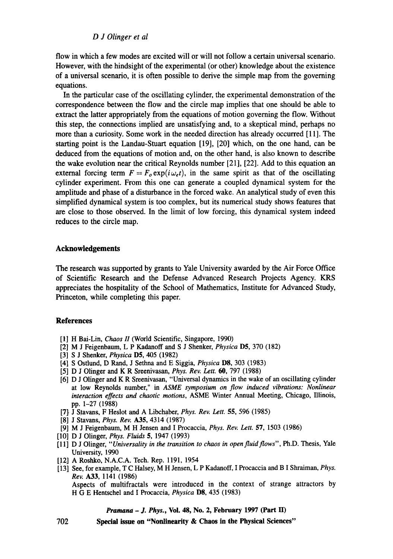*D J Olinger et al* 

flow in which a few modes are excited will or will not follow a certain universal scenario. However, with the hindsight of the experimental (or other) knowledge about the existence of a universal scenario, it is often possible to derive the simple map from the governing equations.

In the particular case of the oscillating cylinder, the experimental demonstration of the correspondence between the flow and the circle map implies that one should be able to extract the latter appropriately from the equations of motion governing the flow. Without this step, the connections implied are unsatisfying and, to a skeptical mind, perhaps no more than a curiosity. Some work in the needed direction has already occurred [11]. The starting point is the Landau-Stuart equation [19], [20] which, on the one hand, can be deduced from the equations of motion and, on the other hand, is also known to describe the wake evolution near the critical Reynolds number [21], [22]. Add to this equation an external forcing term  $F = F_0 \exp(i\omega_c t)$ , in the same spirit as that of the oscillating cylinder experiment. From this one can generate a coupled dynamical system for the amplitude and phase of a disturbance in the forced wake. An analytical study of even this simplified dynamical system is too complex, but its numerical study shows features that are close to those observed. In the limit of low forcing, this dynamical system indeed reduces to the circle map.

## **Acknowledgements**

The research was supported by grants to Yale University awarded by the Air Force Office of Scientific Research and the Defense Advanced Research Projects Agency. KRS appreciates the hospitality of the School of Mathematics, Institute for Advanced Study, Princeton, while completing this paper.

### **References**

- [1] H Bai-Lin, *Chaos II* (World Scientific, Singapore, 1990)
- [2] M J Feigenbanm, L P Kadanoff and S J Shenker, *Physica* D5, 370 (182)
- [3] S J Shenker, *Physica* DS, 405 (1982)
- [4] S Ostlund, D Rand, J Sethna and E Siggia, *Physica* **D8**, 303 (1983)
- [5] D J Olinger and K R Sreenivasan, *Phys. Rev. Lett. 60,* 797 (1988)
- [6] D J Olinger and K R Sreenivasan, "Universal dynamics in the wake of an oscillating cylinder at low Reynolds number," in *ASME symposium on flow induced vibrations: Nonlinear interaction effects and chaotic motions,* ASME Winter Annual Meeting, Chicago, Illinois, pp. 1-27 (1988)
- [7} J S/ayahs, F Heslot and A Libchaber, *Phys. Rev. Lett.* 55, 596 (1985)
- [8] J Stavans, *Phys. Rev.* A35, 4314 (1987)
- [9] M J Feigenbaum, M H Jensen and I Procaccia, *Phys. Rev. Lett.* 57, 1503 (1986)
- [10] D J Olinger, *Phys. Fluids* 5, 1947 (1993)
- [11] D J Olinger, *"Universality in the transition to chaos in open fluid flows",* Ph.D. Thesis, Yale University, 1990
- [12] A Roshko, N.A.C.A. Tech. Rep. 1191, 1954
- [13] See, for example, T C Halsey, M H Jensen, L P Kadanoff, I Procaccia and B I Shraiman, *Phys. Rev.* A33, 1141 (1986)

Aspects of multifractals were introduced in the context of strange attractors by H G E Hentschel and I Procaccia, *Physica* D\$, 435 (1983)

### *Pramana - J. Phys.,* **Vol. 48, No. 2, February 1997 (Part II)**

702

**Special issue on "Nonlinearity & Chaos in the Physical Sciences"**